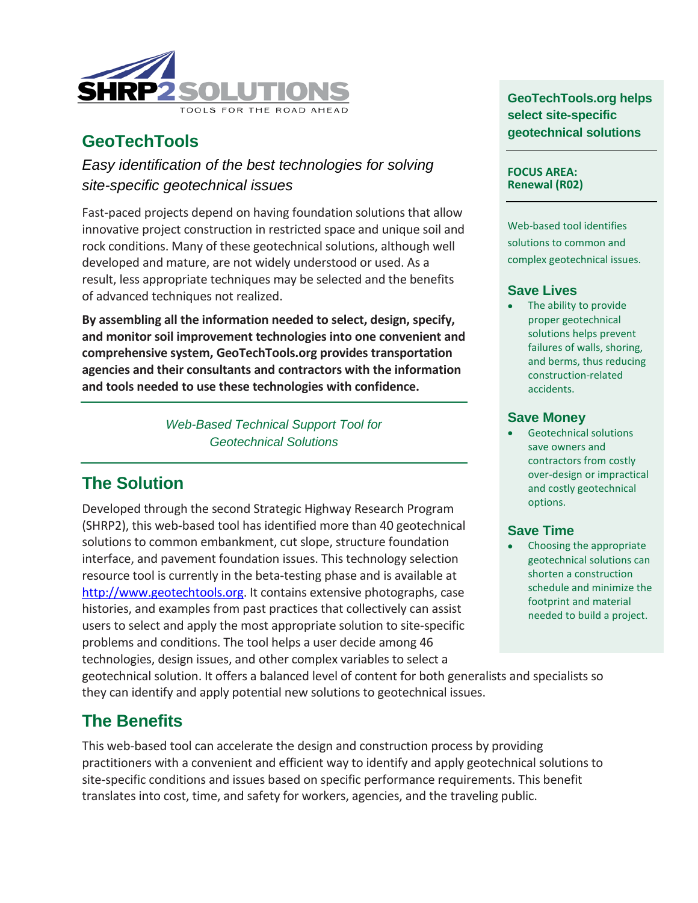

## **GeoTechTools**

### *Easy identification of the best technologies for solving site-specific geotechnical issues*

Fast-paced projects depend on having foundation solutions that allow innovative project construction in restricted space and unique soil and rock conditions. Many of these geotechnical solutions, although well developed and mature, are not widely understood or used. As a result, less appropriate techniques may be selected and the benefits of advanced techniques not realized.

**By assembling all the information needed to select, design, specify, and monitor soil improvement technologies into one convenient and comprehensive system, GeoTechTools.org provides transportation agencies and their consultants and contractors with the information and tools needed to use these technologies with confidence.**

> *Web-Based Technical Support Tool for Geotechnical Solutions*

# **The Solution**

Developed through the second Strategic Highway Research Program (SHRP2), this web-based tool has identified more than 40 geotechnical solutions to common embankment, cut slope, structure foundation interface, and pavement foundation issues. This technology selection resource tool is currently in the beta-testing phase and is available at [http://www.geotechtools.org.](http://www.geotechtools.org/) It contains extensive photographs, case histories, and examples from past practices that collectively can assist users to select and apply the most appropriate solution to site-specific problems and conditions. The tool helps a user decide among 46 technologies, design issues, and other complex variables to select a

geotechnical solution. It offers a balanced level of content for both generalists and specialists so they can identify and apply potential new solutions to geotechnical issues.

## **The Benefits**

This web-based tool can accelerate the design and construction process by providing practitioners with a convenient and efficient way to identify and apply geotechnical solutions to site-specific conditions and issues based on specific performance requirements. This benefit translates into cost, time, and safety for workers, agencies, and the traveling public.

#### **GeoTechTools.org helps select site-specific geotechnical solutions**

#### **FOCUS AREA: Renewal (R02)**

Web-based tool identifies solutions to common and complex geotechnical issues.

### **Save Lives**

• The ability to provide proper geotechnical solutions helps prevent failures of walls, shoring, and berms, thus reducing construction-related accidents.

#### **Save Money**

Geotechnical solutions save owners and contractors from costly over-design or impractical and costly geotechnical options.

#### **Save Time**

• Choosing the appropriate geotechnical solutions can shorten a construction schedule and minimize the footprint and material needed to build a project.